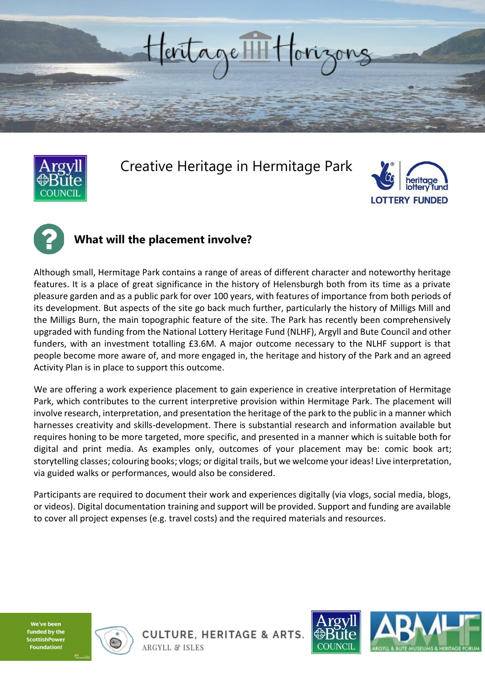



## Creative Heritage in Hermitage Park





### **What will the placement involve?**

Although small, Hermitage Park contains a range of areas of different character and noteworthy heritage features. It is a place of great significance in the history of Helensburgh both from its time as a private pleasure garden and as a public park for over 100 years, with features of importance from both periods of its development. But aspects of the site go back much further, particularly the history of Milligs Mill and the Milligs Burn, the main topographic feature of the site. The Park has recently been comprehensively upgraded with funding from the National Lottery Heritage Fund (NLHF), Argyll and Bute Council and other funders, with an investment totalling £3.6M. A major outcome necessary to the NLHF support is that people become more aware of, and more engaged in, the heritage and history of the Park and an agreed Activity Plan is in place to support this outcome.

We are offering a work experience placement to gain experience in creative interpretation of Hermitage Park, which contributes to the current interpretive provision within Hermitage Park. The placement will involve research, interpretation, and presentation the heritage of the park to the public in a manner which harnesses creativity and skills-development. There is substantial research and information available but requires honing to be more targeted, more specific, and presented in a manner which is suitable both for digital and print media. As examples only, outcomes of your placement may be: comic book art; storytelling classes; colouring books; vlogs; or digital trails, but we welcome your ideas! Live interpretation, via guided walks or performances, would also be considered.

Participants are required to document their work and experiences digitally (via vlogs, social media, blogs, or videos). Digital documentation training and support will be provided. Support and funding are available to cover all project expenses (e.g. travel costs) and the required materials and resources.

We've been funded by the **sttishPower** 



**CULTURE, HERITAGE & ARTS. ARGYLL & ISLES** 

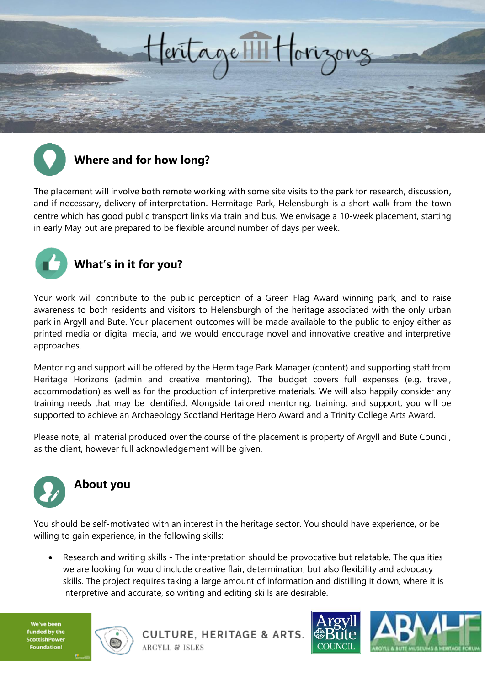



## **Where and for how long?**

The placement will involve both remote working with some site visits to the park for research, discussion, and if necessary, delivery of interpretation. Hermitage Park, Helensburgh is a short walk from the town centre which has good public transport links via train and bus. We envisage a 10-week placement, starting in early May but are prepared to be flexible around number of days per week.



### **What's in it for you?**

Your work will contribute to the public perception of a Green Flag Award winning park, and to raise awareness to both residents and visitors to Helensburgh of the heritage associated with the only urban park in Argyll and Bute. Your placement outcomes will be made available to the public to enjoy either as printed media or digital media, and we would encourage novel and innovative creative and interpretive approaches.

Mentoring and support will be offered by the Hermitage Park Manager (content) and supporting staff from Heritage Horizons (admin and creative mentoring). The budget covers full expenses (e.g. travel, accommodation) as well as for the production of interpretive materials. We will also happily consider any training needs that may be identified. Alongside tailored mentoring, training, and support, you will be supported to achieve an Archaeology Scotland Heritage Hero Award and a Trinity College Arts Award.

Please note, all material produced over the course of the placement is property of Argyll and Bute Council, as the client, however full acknowledgement will be given.



# **About you**

You should be self-motivated with an interest in the heritage sector. You should have experience, or be willing to gain experience, in the following skills:

• Research and writing skills - The interpretation should be provocative but relatable. The qualities we are looking for would include creative flair, determination, but also flexibility and advocacy skills. The project requires taking a large amount of information and distilling it down, where it is interpretive and accurate, so writing and editing skills are desirable.

We've been funded by the cottishPower undation!



**CULTURE, HERITAGE & ARTS. ARGYLL & ISLES**